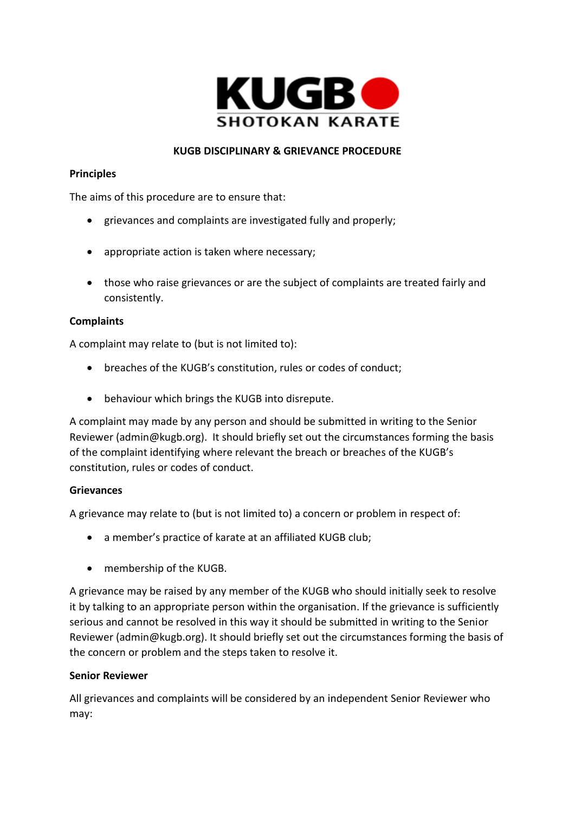

## **KUGB DISCIPLINARY & GRIEVANCE PROCEDURE**

#### **Principles**

The aims of this procedure are to ensure that:

- grievances and complaints are investigated fully and properly;
- appropriate action is taken where necessary;
- those who raise grievances or are the subject of complaints are treated fairly and consistently.

### **Complaints**

A complaint may relate to (but is not limited to):

- breaches of the KUGB's constitution, rules or codes of conduct;
- behaviour which brings the KUGB into disrepute.

A complaint may made by any person and should be submitted in writing to the Senior Reviewer (admin@kugb.org). It should briefly set out the circumstances forming the basis of the complaint identifying where relevant the breach or breaches of the KUGB's constitution, rules or codes of conduct.

#### **Grievances**

A grievance may relate to (but is not limited to) a concern or problem in respect of:

- a member's practice of karate at an affiliated KUGB club;
- membership of the KUGB.

A grievance may be raised by any member of the KUGB who should initially seek to resolve it by talking to an appropriate person within the organisation. If the grievance is sufficiently serious and cannot be resolved in this way it should be submitted in writing to the Senior Reviewer (admin@kugb.org). It should briefly set out the circumstances forming the basis of the concern or problem and the steps taken to resolve it.

#### **Senior Reviewer**

All grievances and complaints will be considered by an independent Senior Reviewer who may: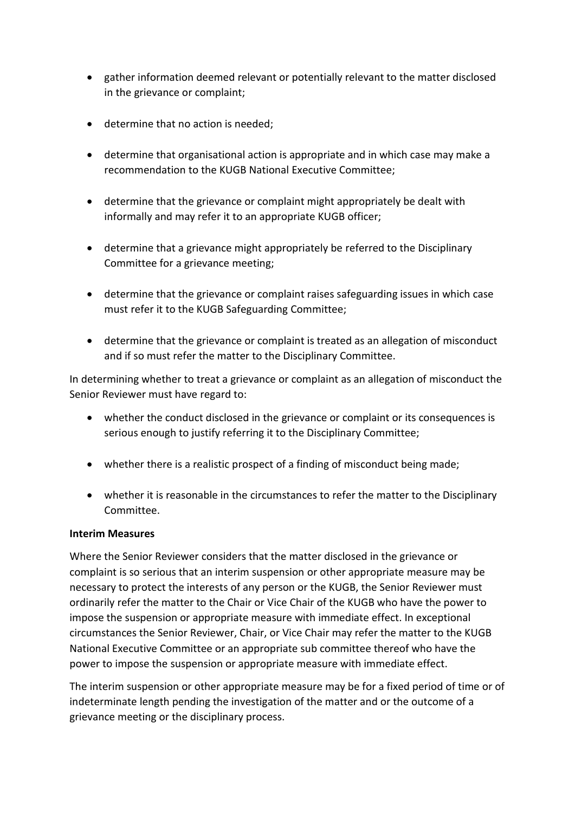- gather information deemed relevant or potentially relevant to the matter disclosed in the grievance or complaint;
- determine that no action is needed;
- determine that organisational action is appropriate and in which case may make a recommendation to the KUGB National Executive Committee;
- determine that the grievance or complaint might appropriately be dealt with informally and may refer it to an appropriate KUGB officer;
- determine that a grievance might appropriately be referred to the Disciplinary Committee for a grievance meeting;
- determine that the grievance or complaint raises safeguarding issues in which case must refer it to the KUGB Safeguarding Committee;
- determine that the grievance or complaint is treated as an allegation of misconduct and if so must refer the matter to the Disciplinary Committee.

In determining whether to treat a grievance or complaint as an allegation of misconduct the Senior Reviewer must have regard to:

- whether the conduct disclosed in the grievance or complaint or its consequences is serious enough to justify referring it to the Disciplinary Committee;
- whether there is a realistic prospect of a finding of misconduct being made;
- whether it is reasonable in the circumstances to refer the matter to the Disciplinary Committee.

#### **Interim Measures**

Where the Senior Reviewer considers that the matter disclosed in the grievance or complaint is so serious that an interim suspension or other appropriate measure may be necessary to protect the interests of any person or the KUGB, the Senior Reviewer must ordinarily refer the matter to the Chair or Vice Chair of the KUGB who have the power to impose the suspension or appropriate measure with immediate effect. In exceptional circumstances the Senior Reviewer, Chair, or Vice Chair may refer the matter to the KUGB National Executive Committee or an appropriate sub committee thereof who have the power to impose the suspension or appropriate measure with immediate effect.

The interim suspension or other appropriate measure may be for a fixed period of time or of indeterminate length pending the investigation of the matter and or the outcome of a grievance meeting or the disciplinary process.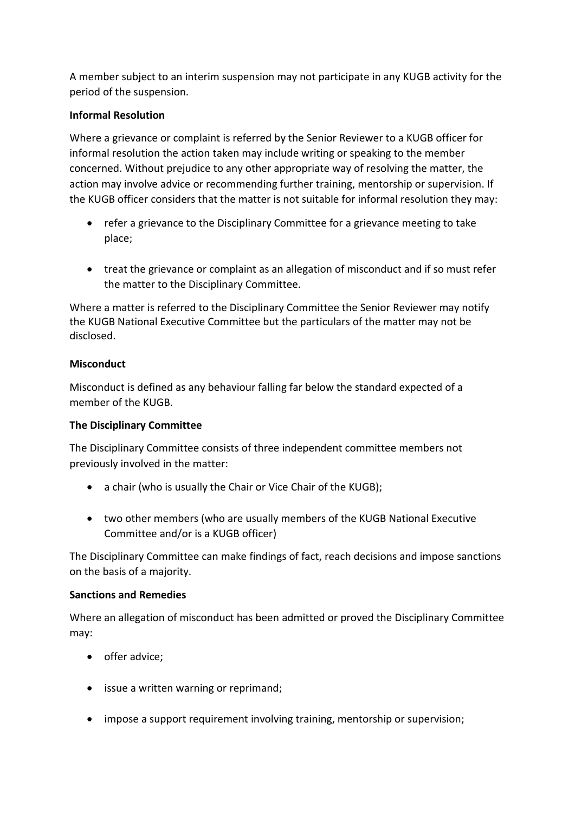A member subject to an interim suspension may not participate in any KUGB activity for the period of the suspension.

## **Informal Resolution**

Where a grievance or complaint is referred by the Senior Reviewer to a KUGB officer for informal resolution the action taken may include writing or speaking to the member concerned. Without prejudice to any other appropriate way of resolving the matter, the action may involve advice or recommending further training, mentorship or supervision. If the KUGB officer considers that the matter is not suitable for informal resolution they may:

- refer a grievance to the Disciplinary Committee for a grievance meeting to take place;
- treat the grievance or complaint as an allegation of misconduct and if so must refer the matter to the Disciplinary Committee.

Where a matter is referred to the Disciplinary Committee the Senior Reviewer may notify the KUGB National Executive Committee but the particulars of the matter may not be disclosed.

### **Misconduct**

Misconduct is defined as any behaviour falling far below the standard expected of a member of the KUGB.

#### **The Disciplinary Committee**

The Disciplinary Committee consists of three independent committee members not previously involved in the matter:

- a chair (who is usually the Chair or Vice Chair of the KUGB);
- two other members (who are usually members of the KUGB National Executive Committee and/or is a KUGB officer)

The Disciplinary Committee can make findings of fact, reach decisions and impose sanctions on the basis of a majority.

#### **Sanctions and Remedies**

Where an allegation of misconduct has been admitted or proved the Disciplinary Committee may:

- offer advice;
- issue a written warning or reprimand;
- impose a support requirement involving training, mentorship or supervision;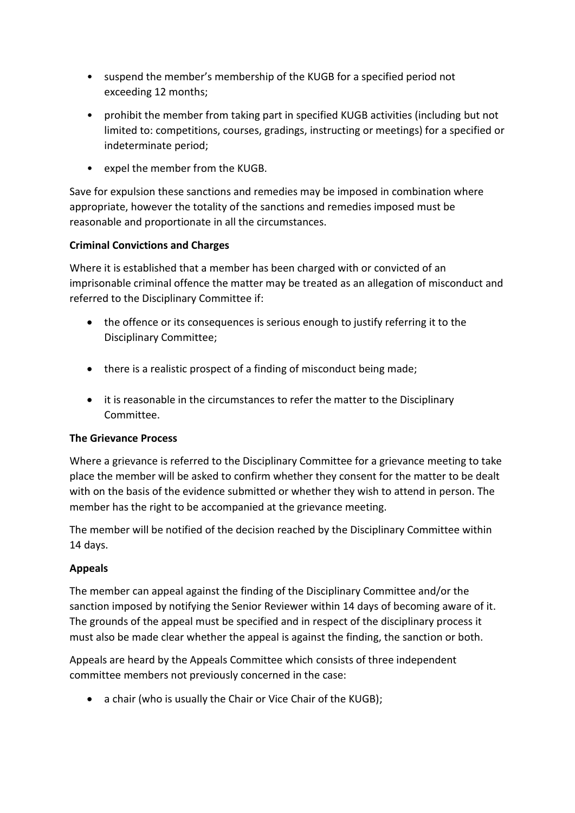- suspend the member's membership of the KUGB for a specified period not exceeding 12 months;
- prohibit the member from taking part in specified KUGB activities (including but not limited to: competitions, courses, gradings, instructing or meetings) for a specified or indeterminate period;
- expel the member from the KUGB.

Save for expulsion these sanctions and remedies may be imposed in combination where appropriate, however the totality of the sanctions and remedies imposed must be reasonable and proportionate in all the circumstances.

# **Criminal Convictions and Charges**

Where it is established that a member has been charged with or convicted of an imprisonable criminal offence the matter may be treated as an allegation of misconduct and referred to the Disciplinary Committee if:

- the offence or its consequences is serious enough to justify referring it to the Disciplinary Committee;
- there is a realistic prospect of a finding of misconduct being made;
- it is reasonable in the circumstances to refer the matter to the Disciplinary Committee.

# **The Grievance Process**

Where a grievance is referred to the Disciplinary Committee for a grievance meeting to take place the member will be asked to confirm whether they consent for the matter to be dealt with on the basis of the evidence submitted or whether they wish to attend in person. The member has the right to be accompanied at the grievance meeting.

The member will be notified of the decision reached by the Disciplinary Committee within 14 days.

# **Appeals**

The member can appeal against the finding of the Disciplinary Committee and/or the sanction imposed by notifying the Senior Reviewer within 14 days of becoming aware of it. The grounds of the appeal must be specified and in respect of the disciplinary process it must also be made clear whether the appeal is against the finding, the sanction or both.

Appeals are heard by the Appeals Committee which consists of three independent committee members not previously concerned in the case:

• a chair (who is usually the Chair or Vice Chair of the KUGB);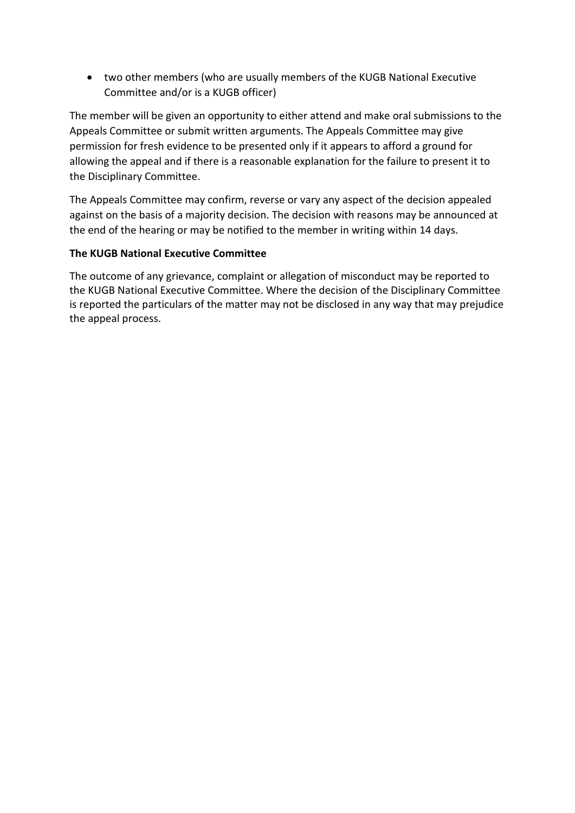• two other members (who are usually members of the KUGB National Executive Committee and/or is a KUGB officer)

The member will be given an opportunity to either attend and make oral submissions to the Appeals Committee or submit written arguments. The Appeals Committee may give permission for fresh evidence to be presented only if it appears to afford a ground for allowing the appeal and if there is a reasonable explanation for the failure to present it to the Disciplinary Committee.

The Appeals Committee may confirm, reverse or vary any aspect of the decision appealed against on the basis of a majority decision. The decision with reasons may be announced at the end of the hearing or may be notified to the member in writing within 14 days.

# **The KUGB National Executive Committee**

The outcome of any grievance, complaint or allegation of misconduct may be reported to the KUGB National Executive Committee. Where the decision of the Disciplinary Committee is reported the particulars of the matter may not be disclosed in any way that may prejudice the appeal process.